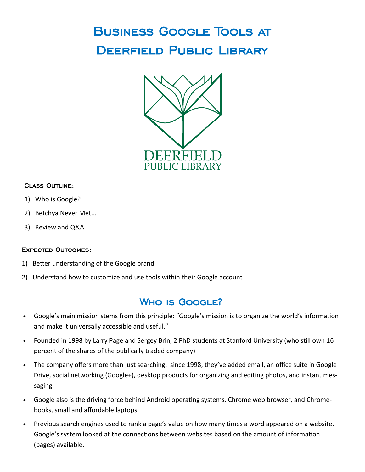# Business Google Tools at DEERFIELD PUBLIC LIBRARY



#### Class Outline:

- 1) Who is Google?
- 2) Betchya Never Met...
- 3) Review and Q&A

#### Expected Outcomes:

- 1) Better understanding of the Google brand
- 2) Understand how to customize and use tools within their Google account

#### WHO IS GOOGLE?

- Google's main mission stems from this principle: "Google's mission is to organize the world's information and make it universally accessible and useful."
- Founded in 1998 by Larry Page and Sergey Brin, 2 PhD students at Stanford University (who still own 16 percent of the shares of the publically traded company)
- The company offers more than just searching: since 1998, they've added email, an office suite in Google Drive, social networking (Google+), desktop products for organizing and editing photos, and instant messaging.
- Google also is the driving force behind Android operating systems, Chrome web browser, and Chromebooks, small and affordable laptops.
- Previous search engines used to rank a page's value on how many times a word appeared on a website. Google's system looked at the connections between websites based on the amount of information (pages) available.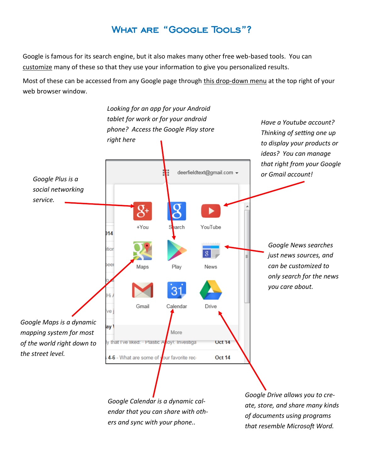#### What are "Google Tools"?

Google is famous for its search engine, but it also makes many other free web-based tools. You can customize many of these so that they use your information to give you personalized results.

Most of these can be accessed from any Google page through this drop-down menu at the top right of your web browser window.

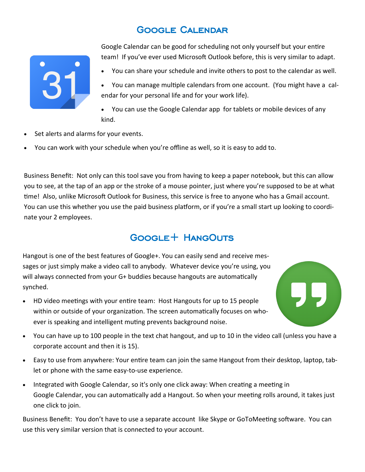## Google Calendar



Google Calendar can be good for scheduling not only yourself but your entire team! If you've ever used Microsoft Outlook before, this is very similar to adapt.

You can share your schedule and invite others to post to the calendar as well.

 You can manage multiple calendars from one account. (You might have a calendar for your personal life and for your work life).

- You can use the Google Calendar app for tablets or mobile devices of any kind.
- Set alerts and alarms for your events.
- You can work with your schedule when you're offline as well, so it is easy to add to.

Business Benefit: Not only can this tool save you from having to keep a paper notebook, but this can allow you to see, at the tap of an app or the stroke of a mouse pointer, just where you're supposed to be at what time! Also, unlike Microsoft Outlook for Business, this service is free to anyone who has a Gmail account. You can use this whether you use the paid business platform, or if you're a small start up looking to coordinate your 2 employees.

#### GOOGLE+ HANGOUTS

Hangout is one of the best features of Google+. You can easily send and receive messages or just simply make a video call to anybody. Whatever device you're using, you will always connected from your G+ buddies because hangouts are automatically synched.

- HD video meetings with your entire team: Host Hangouts for up to 15 people within or outside of your organization. The screen automatically focuses on whoever is speaking and intelligent muting prevents background noise.
- 
- You can have up to 100 people in the text chat hangout, and up to 10 in the video call (unless you have a corporate account and then it is 15).
- Easy to use from anywhere: Your entire team can join the same Hangout from their desktop, laptop, tablet or phone with the same easy-to-use experience.
- Integrated with Google Calendar, so it's only one click away: When creating a meeting in Google Calendar, you can automatically add a Hangout. So when your meeting rolls around, it takes just one click to join.

Business Benefit: You don't have to use a separate account like Skype or GoToMeeting software. You can use this very similar version that is connected to your account.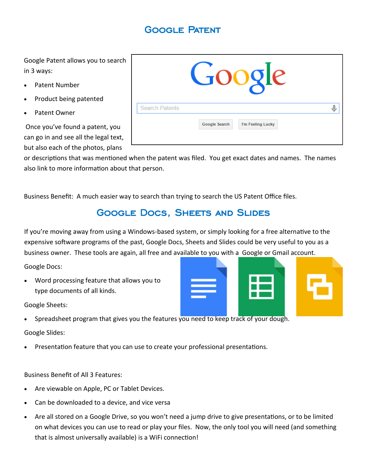## Google Patent

Google Patent allows you to search in 3 ways:

- Patent Number
- Product being patented
- Patent Owner

Once you've found a patent, you can go in and see all the legal text, but also each of the photos, plans



or descriptions that was mentioned when the patent was filed. You get exact dates and names. The names also link to more information about that person.

Business Benefit: A much easier way to search than trying to search the US Patent Office files.

#### GOOGLE DOCS, SHEETS AND SLIDES

If you're moving away from using a Windows-based system, or simply looking for a free alternative to the expensive software programs of the past, Google Docs, Sheets and Slides could be very useful to you as a business owner. These tools are again, all free and available to you with a Google or Gmail account.

Google Docs:

 Word processing feature that allows you to type documents of all kinds.



Google Sheets:

Spreadsheet program that gives you the features you need to keep track of your dough.

Google Slides:

Presentation feature that you can use to create your professional presentations.

Business Benefit of All 3 Features:

- Are viewable on Apple, PC or Tablet Devices.
- Can be downloaded to a device, and vice versa
- Are all stored on a Google Drive, so you won't need a jump drive to give presentations, or to be limited on what devices you can use to read or play your files. Now, the only tool you will need (and something that is almost universally available) is a WiFi connection!